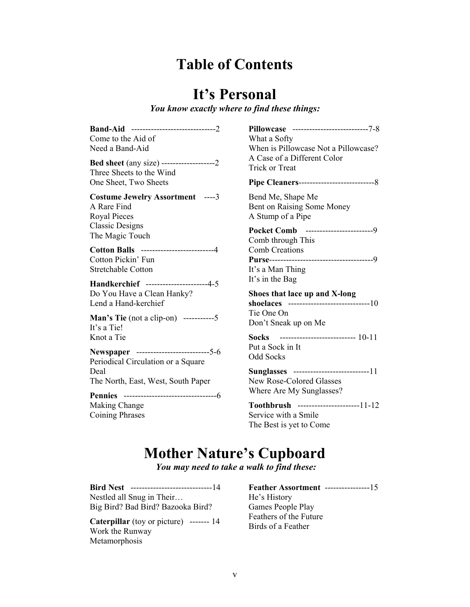# **Table of Contents**

# **It's Personal**

*You know exactly where to find these things:* 

| Come to the Aid of<br>Need a Band-Aid                                                               | Pillowcase ---------------------------7-8<br>What a Softy<br>When is Pillowcase Not a Pillowcase?             |
|-----------------------------------------------------------------------------------------------------|---------------------------------------------------------------------------------------------------------------|
| <b>Bed sheet</b> (any size) --------------------2<br>Three Sheets to the Wind                       | A Case of a Different Color<br><b>Trick or Treat</b>                                                          |
| One Sheet, Two Sheets                                                                               |                                                                                                               |
| <b>Costume Jewelry Assortment</b> ----3<br>A Rare Find<br><b>Royal Pieces</b>                       | Bend Me, Shape Me<br>Bent on Raising Some Money<br>A Stump of a Pipe                                          |
| <b>Classic Designs</b><br>The Magic Touch                                                           | Pocket Comb -------------------------9<br>Comb through This                                                   |
| <b>Cotton Balls</b> ---------------------------4<br>Cotton Pickin' Fun<br><b>Stretchable Cotton</b> | <b>Comb Creations</b><br>It's a Man Thing                                                                     |
| Handkerchief ---------------------4-5<br>Do You Have a Clean Hanky?<br>Lend a Hand-kerchief         | It's in the Bag<br>Shoes that lace up and X-long<br>shoelaces -------------------------------10<br>Tie One On |
| <b>Man's Tie</b> (not a clip-on) ------------5<br>It's a Tie!                                       | Don't Sneak up on Me                                                                                          |
| Knot a Tie<br>Newspaper ---------------------------5-6<br>Periodical Circulation or a Square        | Socks --------------------------- 10-11<br>Put a Sock in It<br><b>Odd Socks</b>                               |
| Deal<br>The North, East, West, South Paper                                                          | Sunglasses ----------------------------11<br>New Rose-Colored Glasses<br>Where Are My Sunglasses?             |
|                                                                                                     |                                                                                                               |
| <b>Making Change</b><br><b>Coining Phrases</b>                                                      | Toothbrush ----------------------11-12<br>Service with a Smile<br>The Best is yet to Come                     |
|                                                                                                     |                                                                                                               |

# **Mother Nature's Cupboard**

*You may need to take a walk to find these:* 

**Bird Nest** -----------------------------14 Nestled all Snug in Their… Big Bird? Bad Bird? Bazooka Bird?

**Caterpillar** (toy or picture) ------- 14 Work the Runway Metamorphosis

**Feather Assortment** ----------------15 He's History Games People Play Feathers of the Future Birds of a Feather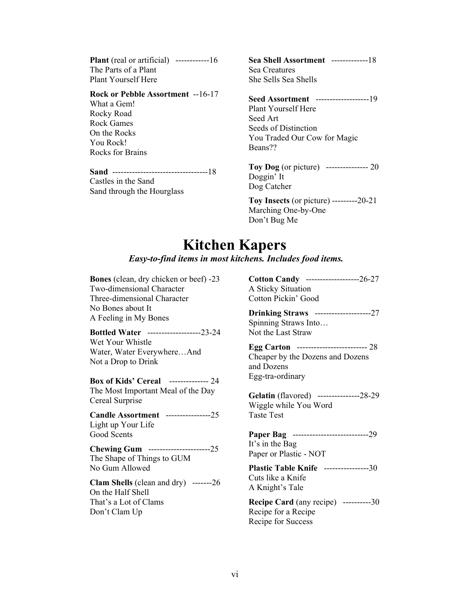**Plant** (real or artificial) -------------16 The Parts of a Plant Plant Yourself Here

### **Rock or Pebble Assortment** --16-17

What a Gem! Rocky Road Rock Games On the Rocks You Rock! Rocks for Brains

**Sand** ----------------------------------18

Castles in the Sand Sand through the Hourglass **Sea Shell Assortment** -------------18 Sea Creatures She Sells Sea Shells

**Seed Assortment** -------------------19 Plant Yourself Here Seed Art Seeds of Distinction You Traded Our Cow for Magic Beans??

**Toy Dog** (or picture) --------------- 20 Doggin' It Dog Catcher

**Toy Insects** (or picture) ---------20-21 Marching One-by-One Don't Bug Me

## **Kitchen Kapers**

### *Easy-to-find items in most kitchens. Includes food items.*

**Bones** (clean, dry chicken or beef) -23 Two-dimensional Character Three-dimensional Character No Bones about It A Feeling in My Bones **Bottled Water** -------------------23-24 Wet Your Whistle Water, Water Everywhere…And Not a Drop to Drink **Box of Kids' Cereal** -------------- 24 The Most Important Meal of the Day Cereal Surprise **Candle Assortment** ----------------25 Light up Your Life Good Scents **Chewing Gum** ----------------------25 The Shape of Things to GUM No Gum Allowed **Clam Shells** (clean and dry) -------26 On the Half Shell That's a Lot of Clams Don't Clam Up

**Cotton Candy** -------------------26-27 A Sticky Situation Cotton Pickin' Good

**Drinking Straws** --------------------27 Spinning Straws Into… Not the Last Straw

**Egg Carton** ------------------------- 28 Cheaper by the Dozens and Dozens and Dozens Egg-tra-ordinary

**Gelatin** (flavored) ---------------28-29 Wiggle while You Word Taste Test

**Paper Bag** ---------------------------29 It's in the Bag

Paper or Plastic - NOT

**Plastic Table Knife** ----------------30 Cuts like a Knife A Knight's Tale

**Recipe Card** (any recipe) ----------30 Recipe for a Recipe Recipe for Success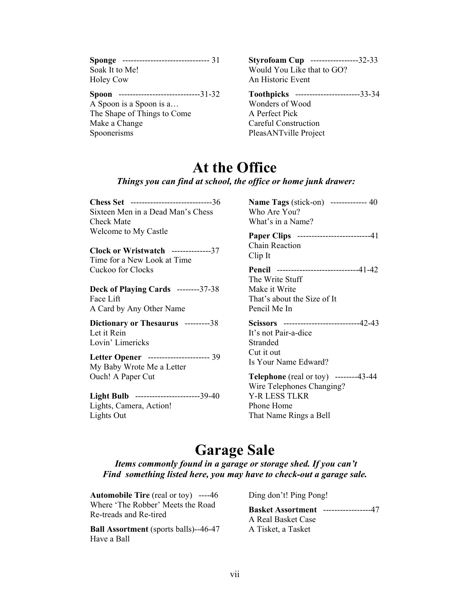|                  | Sponge -------------------------------- 31 |
|------------------|--------------------------------------------|
| Soak It to Me!   |                                            |
| <b>Holey Cow</b> |                                            |

**Spoon** -----------------------------31-32

A Spoon is a Spoon is a… The Shape of Things to Come Make a Change Spoonerisms

**Styrofoam Cup** -----------------32-33 Would You Like that to GO? An Historic Event

**Toothpicks** -----------------------33-34

Wonders of Wood A Perfect Pick Careful Construction PleasANTville Project

## **At the Office**

### *Things you can find at school, the office or home junk drawer:*

**Chess Set** -----------------------------36 Sixteen Men in a Dead Man's Chess Check Mate Welcome to My Castle

**Clock or Wristwatch** --------------37 Time for a New Look at Time Cuckoo for Clocks

**Deck of Playing Cards** --------37-38 Face Lift A Card by Any Other Name

**Dictionary or Thesaurus** ---------38 Let it Rein Lovin' Limericks

## **Letter Opener** ---------------------- 39

My Baby Wrote Me a Letter Ouch! A Paper Cut

**Light Bulb** -----------------------39-40 Lights, Camera, Action! Lights Out

**Name Tags** (stick-on) ------------- 40 Who Are You? What's in a Name?

**Paper Clips** --------------------------41 Chain Reaction Clip It

**Pencil** -----------------------------41-42 The Write Stuff Make it Write That's about the Size of It Pencil Me In

**Scissors** ---------------------------42-43 It's not Pair-a-dice Stranded Cut it out Is Your Name Edward?

**Telephone** (real or toy) --------43-44 Wire Telephones Changing? Y-R LESS TLKR Phone Home That Name Rings a Bell

## **Garage Sale**

*Items commonly found in a garage or storage shed. If you can't Find something listed here, you may have to check-out a garage sale.*

**Automobile Tire** (real or toy) ----46 Where 'The Robber' Meets the Road Re-treads and Re-tired

**Ball Assortment** (sports balls)--46-47 Have a Ball

Ding don't! Ping Pong!

**Basket Assortment** -----------------47 A Real Basket Case A Tisket, a Tasket